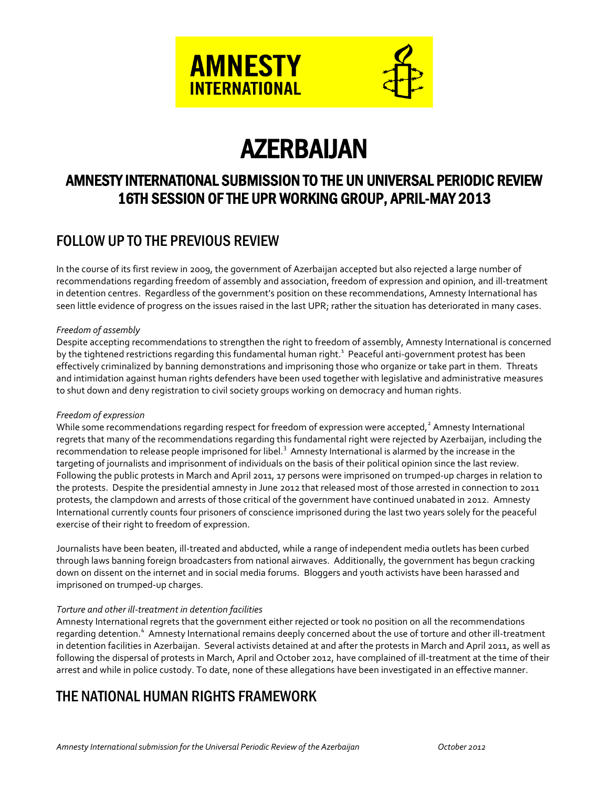

# AZERBAIJAN

# AMNESTY INTERNATIONAL SUBMISSION TO THE UN UNIVERSAL PERIODIC REVIEW 16TH SESSION OF THE UPR WORKING GROUP, APRIL-MAY 2013

# FOLLOW UP TO THE PREVIOUS REVIEW

In the course of its first review in 2009, the government of Azerbaijan accepted but also rejected a large number of recommendations regarding freedom of assembly and association, freedom of expression and opinion, and ill-treatment in detention centres. Regardless of the government's position on these recommendations, Amnesty International has seen little evidence of progress on the issues raised in the last UPR; rather the situation has deteriorated in many cases.

## *Freedom of assembly*

Despite accepting recommendations to strengthen the right to freedom of assembly, Amnesty International is concerned by the tightened restrictions regarding this fundamental human right.<sup>1</sup> Peaceful anti-government protest has been effectively criminalized by banning demonstrations and imprisoning those who organize or take part in them. Threats and intimidation against human rights defenders have been used together with legislative and administrative measures to shut down and deny registration to civil society groups working on democracy and human rights.

## *Freedom of expression*

While some recommendations regarding respect for freedom of expression were accepted, $^2$  Amnesty International regrets that many of the recommendations regarding this fundamental right were rejected by Azerbaijan, including the recommendation to release people imprisoned for libel.<sup>3</sup> Amnesty International is alarmed by the increase in the targeting of journalists and imprisonment of individuals on the basis of their political opinion since the last review. Following the public protests in March and April 2011, 17 persons were imprisoned on trumped-up charges in relation to the protests. Despite the presidential amnesty in June 2012 that released most of those arrested in connection to 2011 protests, the clampdown and arrests of those critical of the government have continued unabated in 2012. Amnesty International currently counts four prisoners of conscience imprisoned during the last two years solely for the peaceful exercise of their right to freedom of expression.

Journalists have been beaten, ill-treated and abducted, while a range of independent media outlets has been curbed through laws banning foreign broadcasters from national airwaves. Additionally, the government has begun cracking down on dissent on the internet and in social media forums. Bloggers and youth activists have been harassed and imprisoned on trumped-up charges.

## *Torture and other ill-treatment in detention facilities*

Amnesty International regrets that the government either rejected or took no position on all the recommendations regarding detention.<sup>4</sup> Amnesty International remains deeply concerned about the use of torture and other ill-treatment in detention facilities in Azerbaijan. Several activists detained at and after the protests in March and April 2011, as well as following the dispersal of protests in March, April and October 2012, have complained of ill-treatment at the time of their arrest and while in police custody. To date, none of these allegations have been investigated in an effective manner.

# THE NATIONAL HUMAN RIGHTS FRAMEWORK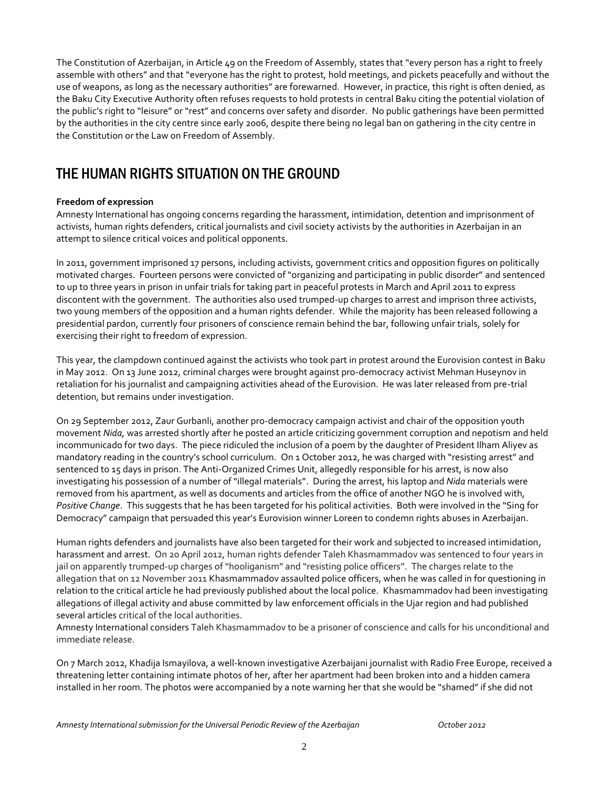The Constitution of Azerbaijan, in Article 49 on the Freedom of Assembly, states that "every person has a right to freely assemble with others" and that "everyone has the right to protest, hold meetings, and pickets peacefully and without the use of weapons, as long as the necessary authorities" are forewarned. However, in practice, this right is often denied, as the Baku City Executive Authority often refuses requests to hold protests in central Baku citing the potential violation of the public's right to "leisure" or "rest" and concerns over safety and disorder. No public gatherings have been permitted by the authorities in the city centre since early 2006, despite there being no legal ban on gathering in the city centre in the Constitution or the Law on Freedom of Assembly.

# THE HUMAN RIGHTS SITUATION ON THE GROUND

## **Freedom of expression**

Amnesty International has ongoing concerns regarding the harassment, intimidation, detention and imprisonment of activists, human rights defenders, critical journalists and civil society activists by the authorities in Azerbaijan in an attempt to silence critical voices and political opponents.

In 2011, government imprisoned 17 persons, including activists, government critics and opposition figures on politically motivated charges. Fourteen persons were convicted of "organizing and participating in public disorder" and sentenced to up to three years in prison in unfair trials for taking part in peaceful protests in March and April 2011 to express discontent with the government. The authorities also used trumped-up charges to arrest and imprison three activists, two young members of the opposition and a human rights defender. While the majority has been released following a presidential pardon, currently four prisoners of conscience remain behind the bar, following unfair trials, solely for exercising their right to freedom of expression.

This year, the clampdown continued against the activists who took part in protest around the Eurovision contest in Baku in May 2012. On 13 June 2012, criminal charges were brought against pro-democracy activist Mehman Huseynov in retaliation for his journalist and campaigning activities ahead of the Eurovision. He was later released from pre-trial detention, but remains under investigation.

On 29 September 2012, Zaur Gurbanli, another pro-democracy campaign activist and chair of the opposition youth movement *Nida,* was arrested shortly after he posted an article criticizing government corruption and nepotism and held incommunicado for two days. The piece ridiculed the inclusion of a poem by the daughter of President Ilham Aliyev as mandatory reading in the country's school curriculum. On 1 October 2012, he was charged with "resisting arrest" and sentenced to 15 days in prison. The Anti-Organized Crimes Unit, allegedly responsible for his arrest, is now also investigating his possession of a number of "illegal materials". During the arrest, his laptop and *Nida* materials were removed from his apartment, as well as documents and articles from the office of another NGO he is involved with, *Positive Change*. This suggests that he has been targeted for his political activities. Both were involved in the "Sing for Democracy" campaign that persuaded this year's Eurovision winner Loreen to condemn rights abuses in Azerbaijan.

Human rights defenders and journalists have also been targeted for their work and subjected to increased intimidation, harassment and arrest. On 20 April 2012, human rights defender Taleh Khasmammadov was sentenced to four years in jail on apparently trumped-up charges of "hooliganism" and "resisting police officers". The charges relate to the allegation that on 12 November 2011 Khasmammadov assaulted police officers, when he was called in for questioning in relation to the critical article he had previously published about the local police. Khasmammadov had been investigating allegations of illegal activity and abuse committed by law enforcement officials in the Ujar region and had published several articles critical of the local authorities.

Amnesty International considers Taleh Khasmammadov to be a prisoner of conscience and calls for his unconditional and immediate release.

On 7 March 2012, Khadija Ismayilova, a well-known investigative Azerbaijani journalist with Radio Free Europe, received a threatening letter containing intimate photos of her, after her apartment had been broken into and a hidden camera installed in her room. The photos were accompanied by a note warning her that she would be "shamed" if she did not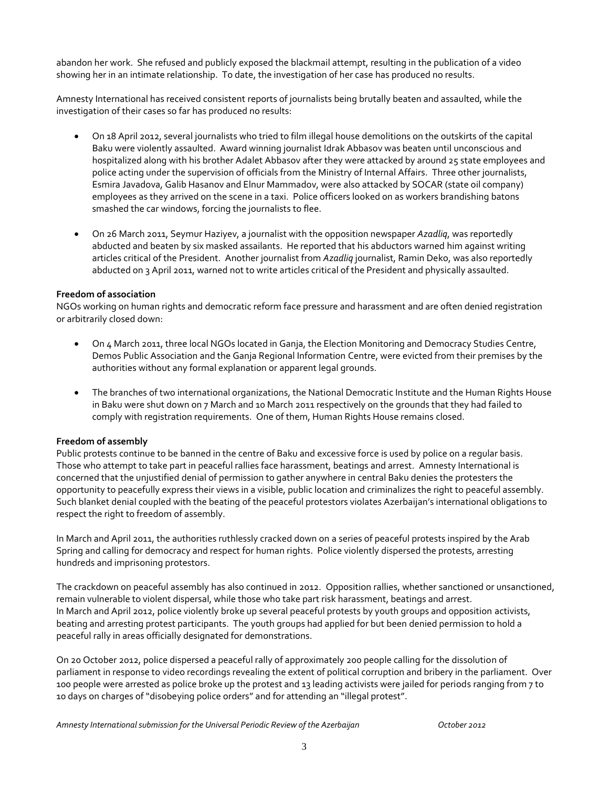abandon her work. She refused and publicly exposed the blackmail attempt, resulting in the publication of a video showing her in an intimate relationship. To date, the investigation of her case has produced no results.

Amnesty International has received consistent reports of journalists being brutally beaten and assaulted, while the investigation of their cases so far has produced no results:

- On 18 April 2012, several journalists who tried to film illegal house demolitions on the outskirts of the capital Baku were violently assaulted. Award winning journalist Idrak Abbasov was beaten until unconscious and hospitalized along with his brother Adalet Abbasov after they were attacked by around 25 state employees and police acting under the supervision of officials from the Ministry of Internal Affairs. Three other journalists, Esmira Javadova, Galib Hasanov and Elnur Mammadov, were also attacked by SOCAR (state oil company) employees as they arrived on the scene in a taxi. Police officers looked on as workers brandishing batons smashed the car windows, forcing the journalists to flee.
- On 26 March 2011, Seymur Haziyev, a journalist with the opposition newspaper *Azadliq*, was reportedly abducted and beaten by six masked assailants. He reported that his abductors warned him against writing articles critical of the President. Another journalist from *Azadliq* journalist, Ramin Deko, was also reportedly abducted on 3 April 2011, warned not to write articles critical of the President and physically assaulted.

#### **Freedom of association**

NGOs working on human rights and democratic reform face pressure and harassment and are often denied registration or arbitrarily closed down:

- On 4 March 2011, three local NGOs located in Ganja, the Election Monitoring and Democracy Studies Centre, Demos Public Association and the Ganja Regional Information Centre, were evicted from their premises by the authorities without any formal explanation or apparent legal grounds.
- The branches of two international organizations, the National Democratic Institute and the Human Rights House in Baku were shut down on 7 March and 10 March 2011 respectively on the grounds that they had failed to comply with registration requirements. One of them, Human Rights House remains closed.

#### **Freedom of assembly**

Public protests continue to be banned in the centre of Baku and excessive force is used by police on a regular basis. Those who attempt to take part in peaceful rallies face harassment, beatings and arrest. Amnesty International is concerned that the unjustified denial of permission to gather anywhere in central Baku denies the protesters the opportunity to peacefully express their views in a visible, public location and criminalizes the right to peaceful assembly. Such blanket denial coupled with the beating of the peaceful protestors violates Azerbaijan's international obligations to respect the right to freedom of assembly.

In March and April 2011, the authorities ruthlessly cracked down on a series of peaceful protests inspired by the Arab Spring and calling for democracy and respect for human rights. Police violently dispersed the protests, arresting hundreds and imprisoning protestors.

The crackdown on peaceful assembly has also continued in 2012. Opposition rallies, whether sanctioned or unsanctioned, remain vulnerable to violent dispersal, while those who take part risk harassment, beatings and arrest. In March and April 2012, police violently broke up several peaceful protests by youth groups and opposition activists, beating and arresting protest participants. The youth groups had applied for but been denied permission to hold a peaceful rally in areas officially designated for demonstrations.

On 20 October 2012, police dispersed a peaceful rally of approximately 200 people calling for the dissolution of parliament in response to video recordings revealing the extent of political corruption and bribery in the parliament. Over 100 people were arrested as police broke up the protest and 13 leading activists were jailed for periods ranging from 7 to 10 days on charges of "disobeying police orders" and for attending an "illegal protest".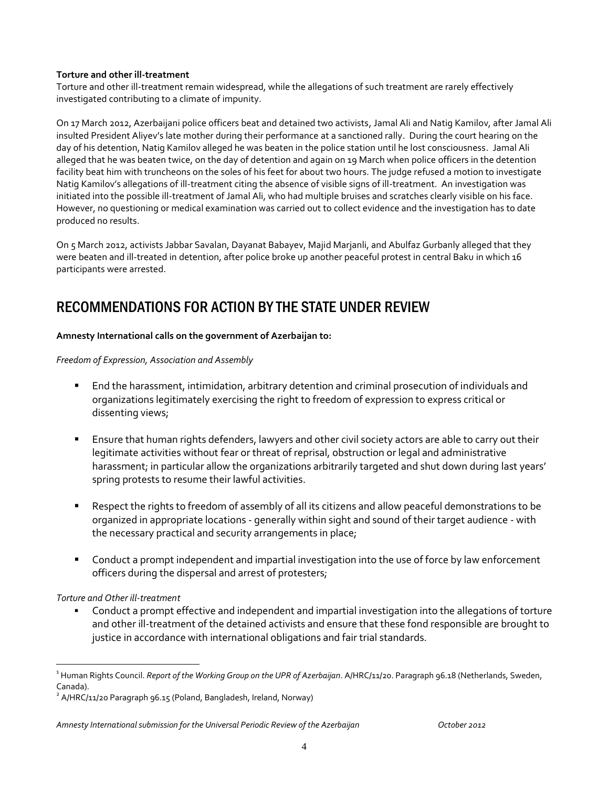#### **Torture and other ill-treatment**

Torture and other ill-treatment remain widespread, while the allegations of such treatment are rarely effectively investigated contributing to a climate of impunity.

On 17 March 2012, Azerbaijani police officers beat and detained two activists, Jamal Ali and Natig Kamilov, after Jamal Ali insulted President Aliyev's late mother during their performance at a sanctioned rally. During the court hearing on the day of his detention, Natig Kamilov alleged he was beaten in the police station until he lost consciousness. Jamal Ali alleged that he was beaten twice, on the day of detention and again on 19 March when police officers in the detention facility beat him with truncheons on the soles of his feet for about two hours. The judge refused a motion to investigate Natig Kamilov's allegations of ill-treatment citing the absence of visible signs of ill-treatment. An investigation was initiated into the possible ill-treatment of Jamal Ali, who had multiple bruises and scratches clearly visible on his face. However, no questioning or medical examination was carried out to collect evidence and the investigation has to date produced no results.

On 5 March 2012, activists Jabbar Savalan, Dayanat Babayev, Majid Marjanli, and Abulfaz Gurbanly alleged that they were beaten and ill-treated in detention, after police broke up another peaceful protest in central Baku in which 16 participants were arrested.

# RECOMMENDATIONS FOR ACTION BY THE STATE UNDER REVIEW

#### **Amnesty International calls on the government of Azerbaijan to:**

*Freedom of Expression, Association and Assembly*

- End the harassment, intimidation, arbitrary detention and criminal prosecution of individuals and organizations legitimately exercising the right to freedom of expression to express critical or dissenting views;
- **Ensure that human rights defenders, lawyers and other civil society actors are able to carry out their** legitimate activities without fear or threat of reprisal, obstruction or legal and administrative harassment; in particular allow the organizations arbitrarily targeted and shut down during last years' spring protests to resume their lawful activities.
- Respect the rights to freedom of assembly of all its citizens and allow peaceful demonstrations to be organized in appropriate locations - generally within sight and sound of their target audience - with the necessary practical and security arrangements in place;
- Conduct a prompt independent and impartial investigation into the use of force by law enforcement officers during the dispersal and arrest of protesters;

## *Torture and Other ill-treatment*

 $\overline{a}$ 

 Conduct a prompt effective and independent and impartial investigation into the allegations of torture and other ill-treatment of the detained activists and ensure that these fond responsible are brought to justice in accordance with international obligations and fair trial standards.

<sup>&</sup>lt;sup>1</sup> Human Rights Council. *Report of the Working Group on the UPR of Azerbaijan. A*/HRC/11/20. Paragraph 96.18 (Netherlands, Sweden, Canada).

 $^2$  A/HRC/11/20 Paragraph 96.15 (Poland, Bangladesh, Ireland, Norway)